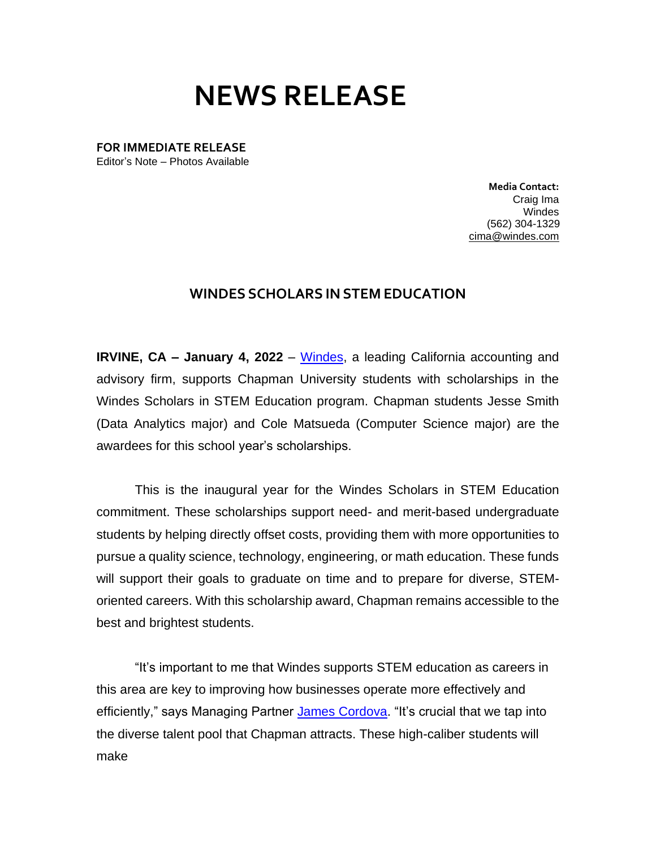## **NEWS RELEASE**

**FOR IMMEDIATE RELEASE** Editor's Note – Photos Available

> **Media Contact:**  Craig Ima Windes (562) 304-1329 [cima@windes.com](mailto:cima@windes.com)

## **WINDES SCHOLARS IN STEM EDUCATION**

**IRVINE, CA – January 4, 2022** – [Windes,](https://windes.com/) a leading California accounting and advisory firm, supports Chapman University students with scholarships in the Windes Scholars in STEM Education program. Chapman students Jesse Smith (Data Analytics major) and Cole Matsueda (Computer Science major) are the awardees for this school year's scholarships.

This is the inaugural year for the Windes Scholars in STEM Education commitment. These scholarships support need- and merit-based undergraduate students by helping directly offset costs, providing them with more opportunities to pursue a quality science, technology, engineering, or math education. These funds will support their goals to graduate on time and to prepare for diverse, STEMoriented careers. With this scholarship award, Chapman remains accessible to the best and brightest students.

"It's important to me that Windes supports STEM education as careers in this area are key to improving how businesses operate more effectively and efficiently," says Managing Partner James [Cordova.](https://windes.com/about/windes-leadership/james-a-cordova-cpa-mst/) "It's crucial that we tap into the diverse talent pool that Chapman attracts. These high-caliber students will make